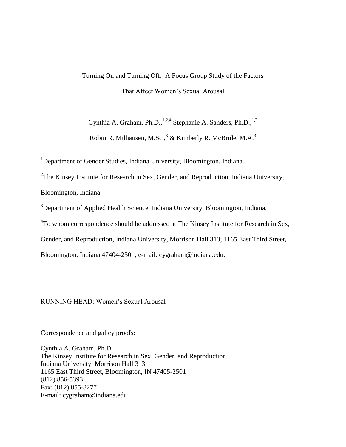# Turning On and Turning Off: A Focus Group Study of the Factors That Affect Women"s Sexual Arousal

Cynthia A. Graham, Ph.D., $^{1,2,4}$  Stephanie A. Sanders, Ph.D., $^{1,2}$ Robin R. Milhausen, M.Sc., $3 \&$  Kimberly R. McBride, M.A. $3$ 

<sup>1</sup>Department of Gender Studies, Indiana University, Bloomington, Indiana.

<sup>2</sup>The Kinsey Institute for Research in Sex, Gender, and Reproduction, Indiana University, Bloomington, Indiana.

<sup>3</sup>Department of Applied Health Science, Indiana University, Bloomington, Indiana.

<sup>4</sup>To whom correspondence should be addressed at The Kinsey Institute for Research in Sex,

Gender, and Reproduction, Indiana University, Morrison Hall 313, 1165 East Third Street,

Bloomington, Indiana 47404-2501; e-mail: cygraham@indiana.edu.

RUNNING HEAD: Women"s Sexual Arousal

Correspondence and galley proofs:

Cynthia A. Graham, Ph.D. The Kinsey Institute for Research in Sex, Gender, and Reproduction Indiana University, Morrison Hall 313 1165 East Third Street, Bloomington, IN 47405-2501 (812) 856-5393 Fax: (812) 855-8277 E-mail: cygraham@indiana.edu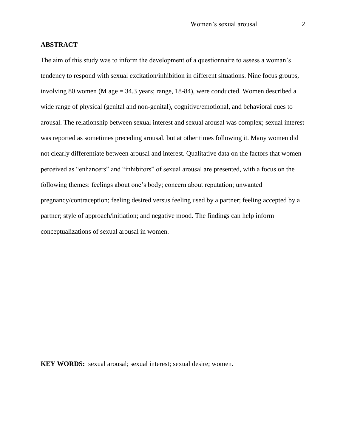## **ABSTRACT**

The aim of this study was to inform the development of a questionnaire to assess a woman's tendency to respond with sexual excitation/inhibition in different situations. Nine focus groups, involving 80 women (M age = 34.3 years; range, 18-84), were conducted. Women described a wide range of physical (genital and non-genital), cognitive/emotional, and behavioral cues to arousal. The relationship between sexual interest and sexual arousal was complex; sexual interest was reported as sometimes preceding arousal, but at other times following it. Many women did not clearly differentiate between arousal and interest. Qualitative data on the factors that women perceived as "enhancers" and "inhibitors" of sexual arousal are presented, with a focus on the following themes: feelings about one"s body; concern about reputation; unwanted pregnancy/contraception; feeling desired versus feeling used by a partner; feeling accepted by a partner; style of approach/initiation; and negative mood. The findings can help inform conceptualizations of sexual arousal in women.

**KEY WORDS:** sexual arousal; sexual interest; sexual desire; women.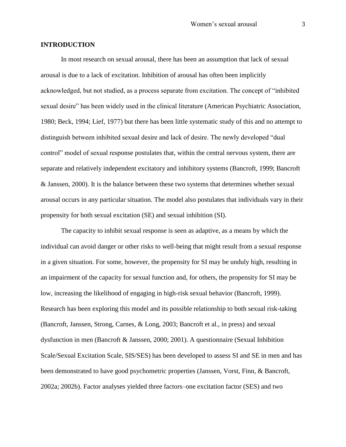#### **INTRODUCTION**

In most research on sexual arousal, there has been an assumption that lack of sexual arousal is due to a lack of excitation. Inhibition of arousal has often been implicitly acknowledged, but not studied, as a process separate from excitation. The concept of "inhibited sexual desire" has been widely used in the clinical literature (American Psychiatric Association, 1980; Beck, 1994; Lief, 1977) but there has been little systematic study of this and no attempt to distinguish between inhibited sexual desire and lack of desire. The newly developed "dual control" model of sexual response postulates that, within the central nervous system, there are separate and relatively independent excitatory and inhibitory systems (Bancroft, 1999; Bancroft & Janssen, 2000). It is the balance between these two systems that determines whether sexual arousal occurs in any particular situation. The model also postulates that individuals vary in their propensity for both sexual excitation (SE) and sexual inhibition (SI).

The capacity to inhibit sexual response is seen as adaptive, as a means by which the individual can avoid danger or other risks to well-being that might result from a sexual response in a given situation. For some, however, the propensity for SI may be unduly high, resulting in an impairment of the capacity for sexual function and, for others, the propensity for SI may be low, increasing the likelihood of engaging in high-risk sexual behavior (Bancroft, 1999). Research has been exploring this model and its possible relationship to both sexual risk-taking (Bancroft, Janssen, Strong, Carnes, & Long, 2003; Bancroft et al., in press) and sexual dysfunction in men (Bancroft & Janssen, 2000; 2001). A questionnaire (Sexual Inhibition Scale/Sexual Excitation Scale, SIS/SES) has been developed to assess SI and SE in men and has been demonstrated to have good psychometric properties (Janssen, Vorst, Finn, & Bancroft, 2002a; 2002b). Factor analyses yielded three factors–one excitation factor (SES) and two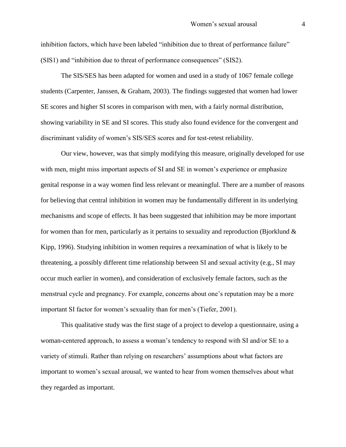inhibition factors, which have been labeled "inhibition due to threat of performance failure" (SIS1) and "inhibition due to threat of performance consequences" (SIS2).

The SIS/SES has been adapted for women and used in a study of 1067 female college students (Carpenter, Janssen, & Graham, 2003). The findings suggested that women had lower SE scores and higher SI scores in comparison with men, with a fairly normal distribution, showing variability in SE and SI scores. This study also found evidence for the convergent and discriminant validity of women"s SIS/SES scores and for test-retest reliability.

Our view, however, was that simply modifying this measure, originally developed for use with men, might miss important aspects of SI and SE in women's experience or emphasize genital response in a way women find less relevant or meaningful. There are a number of reasons for believing that central inhibition in women may be fundamentally different in its underlying mechanisms and scope of effects. It has been suggested that inhibition may be more important for women than for men, particularly as it pertains to sexuality and reproduction (Bjorklund  $\&$ Kipp, 1996). Studying inhibition in women requires a reexamination of what is likely to be threatening, a possibly different time relationship between SI and sexual activity (e.g., SI may occur much earlier in women), and consideration of exclusively female factors, such as the menstrual cycle and pregnancy. For example, concerns about one"s reputation may be a more important SI factor for women's sexuality than for men's (Tiefer, 2001).

This qualitative study was the first stage of a project to develop a questionnaire, using a woman-centered approach, to assess a woman"s tendency to respond with SI and/or SE to a variety of stimuli. Rather than relying on researchers" assumptions about what factors are important to women"s sexual arousal, we wanted to hear from women themselves about what they regarded as important.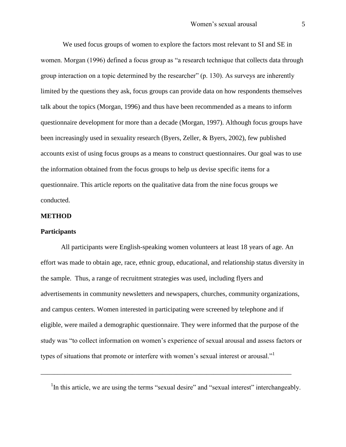We used focus groups of women to explore the factors most relevant to SI and SE in women. Morgan (1996) defined a focus group as "a research technique that collects data through group interaction on a topic determined by the researcher" (p. 130). As surveys are inherently limited by the questions they ask, focus groups can provide data on how respondents themselves talk about the topics (Morgan, 1996) and thus have been recommended as a means to inform questionnaire development for more than a decade (Morgan, 1997). Although focus groups have been increasingly used in sexuality research (Byers, Zeller, & Byers, 2002), few published accounts exist of using focus groups as a means to construct questionnaires. Our goal was to use the information obtained from the focus groups to help us devise specific items for a questionnaire. This article reports on the qualitative data from the nine focus groups we conducted.

#### **METHOD**

#### **Participants**

All participants were English-speaking women volunteers at least 18 years of age. An effort was made to obtain age, race, ethnic group, educational, and relationship status diversity in the sample. Thus, a range of recruitment strategies was used, including flyers and advertisements in community newsletters and newspapers, churches, community organizations, and campus centers. Women interested in participating were screened by telephone and if eligible, were mailed a demographic questionnaire. They were informed that the purpose of the study was "to collect information on women"s experience of sexual arousal and assess factors or types of situations that promote or interfere with women's sexual interest or arousal."<sup>1</sup>

<sup>1</sup>In this article, we are using the terms "sexual desire" and "sexual interest" interchangeably.

\_\_\_\_\_\_\_\_\_\_\_\_\_\_\_\_\_\_\_\_\_\_\_\_\_\_\_\_\_\_\_\_\_\_\_\_\_\_\_\_\_\_\_\_\_\_\_\_\_\_\_\_\_\_\_\_\_\_\_\_\_\_\_\_\_\_\_\_\_\_\_\_\_\_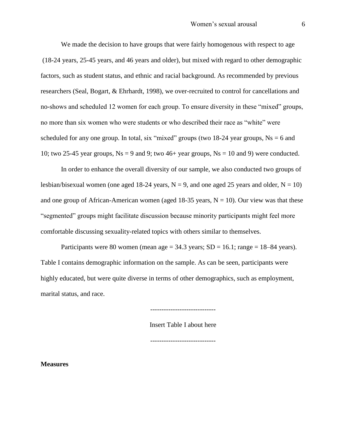We made the decision to have groups that were fairly homogenous with respect to age (18-24 years, 25-45 years, and 46 years and older), but mixed with regard to other demographic factors, such as student status, and ethnic and racial background. As recommended by previous researchers (Seal, Bogart, & Ehrhardt, 1998), we over-recruited to control for cancellations and no-shows and scheduled 12 women for each group. To ensure diversity in these "mixed" groups, no more than six women who were students or who described their race as "white" were scheduled for any one group. In total, six "mixed" groups (two 18-24 year groups,  $Ns = 6$  and 10; two 25-45 year groups,  $Ns = 9$  and 9; two 46+ year groups,  $Ns = 10$  and 9) were conducted.

In order to enhance the overall diversity of our sample, we also conducted two groups of lesbian/bisexual women (one aged 18-24 years,  $N = 9$ , and one aged 25 years and older,  $N = 10$ ) and one group of African-American women (aged 18-35 years,  $N = 10$ ). Our view was that these "segmented" groups might facilitate discussion because minority participants might feel more comfortable discussing sexuality-related topics with others similar to themselves.

Participants were 80 women (mean age  $= 34.3$  years;  $SD = 16.1$ ; range  $= 18-84$  years). Table I contains demographic information on the sample. As can be seen, participants were highly educated, but were quite diverse in terms of other demographics, such as employment, marital status, and race.

Insert Table I about here

-----------------------------

**Measures**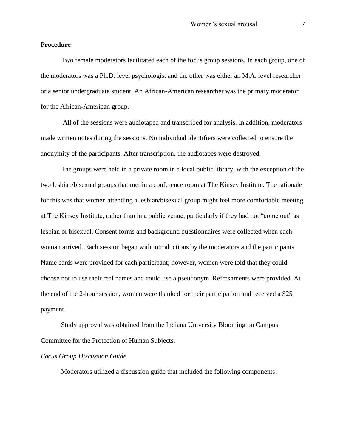#### **Procedure**

Two female moderators facilitated each of the focus group sessions. In each group, one of the moderators was a Ph.D. level psychologist and the other was either an M.A. level researcher or a senior undergraduate student. An African-American researcher was the primary moderator for the African-American group.

All of the sessions were audiotaped and transcribed for analysis. In addition, moderators made written notes during the sessions. No individual identifiers were collected to ensure the anonymity of the participants. After transcription, the audiotapes were destroyed.

The groups were held in a private room in a local public library, with the exception of the two lesbian/bisexual groups that met in a conference room at The Kinsey Institute. The rationale for this was that women attending a lesbian/bisexual group might feel more comfortable meeting at The Kinsey Institute, rather than in a public venue, particularly if they had not "come out" as lesbian or bisexual. Consent forms and background questionnaires were collected when each woman arrived. Each session began with introductions by the moderators and the participants. Name cards were provided for each participant; however, women were told that they could choose not to use their real names and could use a pseudonym. Refreshments were provided. At the end of the 2-hour session, women were thanked for their participation and received a \$25 payment.

Study approval was obtained from the Indiana University Bloomington Campus Committee for the Protection of Human Subjects.

#### *Focus Group Discussion Guide*

Moderators utilized a discussion guide that included the following components: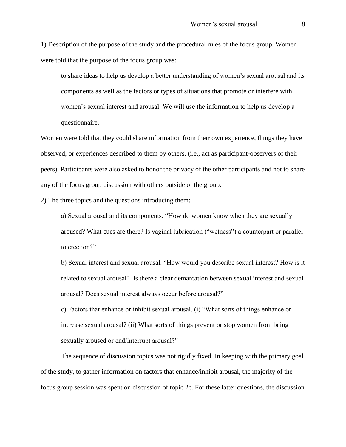1) Description of the purpose of the study and the procedural rules of the focus group. Women were told that the purpose of the focus group was:

to share ideas to help us develop a better understanding of women"s sexual arousal and its components as well as the factors or types of situations that promote or interfere with women"s sexual interest and arousal. We will use the information to help us develop a questionnaire.

Women were told that they could share information from their own experience, things they have observed, or experiences described to them by others, (i.e., act as participant-observers of their peers). Participants were also asked to honor the privacy of the other participants and not to share any of the focus group discussion with others outside of the group.

2) The three topics and the questions introducing them:

a) Sexual arousal and its components. "How do women know when they are sexually aroused? What cues are there? Is vaginal lubrication ("wetness") a counterpart or parallel to erection?"

b) Sexual interest and sexual arousal. "How would you describe sexual interest? How is it related to sexual arousal? Is there a clear demarcation between sexual interest and sexual arousal? Does sexual interest always occur before arousal?"

c) Factors that enhance or inhibit sexual arousal. (i) "What sorts of things enhance or increase sexual arousal? (ii) What sorts of things prevent or stop women from being sexually aroused or end/interrupt arousal?"

The sequence of discussion topics was not rigidly fixed. In keeping with the primary goal of the study, to gather information on factors that enhance/inhibit arousal, the majority of the focus group session was spent on discussion of topic 2c. For these latter questions, the discussion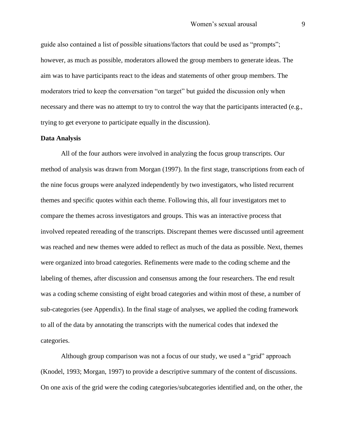guide also contained a list of possible situations/factors that could be used as "prompts"; however, as much as possible, moderators allowed the group members to generate ideas. The aim was to have participants react to the ideas and statements of other group members. The moderators tried to keep the conversation "on target" but guided the discussion only when necessary and there was no attempt to try to control the way that the participants interacted (e.g., trying to get everyone to participate equally in the discussion).

#### **Data Analysis**

All of the four authors were involved in analyzing the focus group transcripts. Our method of analysis was drawn from Morgan (1997). In the first stage, transcriptions from each of the nine focus groups were analyzed independently by two investigators, who listed recurrent themes and specific quotes within each theme. Following this, all four investigators met to compare the themes across investigators and groups. This was an interactive process that involved repeated rereading of the transcripts. Discrepant themes were discussed until agreement was reached and new themes were added to reflect as much of the data as possible. Next, themes were organized into broad categories. Refinements were made to the coding scheme and the labeling of themes, after discussion and consensus among the four researchers. The end result was a coding scheme consisting of eight broad categories and within most of these, a number of sub-categories (see Appendix). In the final stage of analyses, we applied the coding framework to all of the data by annotating the transcripts with the numerical codes that indexed the categories.

Although group comparison was not a focus of our study, we used a "grid" approach (Knodel, 1993; Morgan, 1997) to provide a descriptive summary of the content of discussions. On one axis of the grid were the coding categories/subcategories identified and, on the other, the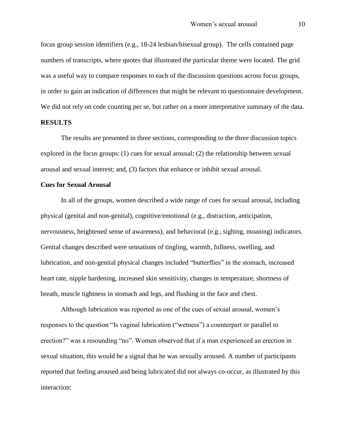focus group session identifiers (e.g., 18-24 lesbian/bisexual group). The cells contained page numbers of transcripts, where quotes that illustrated the particular theme were located. The grid was a useful way to compare responses to each of the discussion questions across focus groups, in order to gain an indication of differences that might be relevant to questionnaire development. We did not rely on code counting per se, but rather on a more interpretative summary of the data.

#### **RESULTS**

The results are presented in three sections, corresponding to the three discussion topics explored in the focus groups: (1) cues for sexual arousal; (2) the relationship between sexual arousal and sexual interest; and, (3) factors that enhance or inhibit sexual arousal.

#### **Cues for Sexual Arousal**

In all of the groups, women described a wide range of cues for sexual arousal, including physical (genital and non-genital), cognitive/emotional (e.g., distraction, anticipation, nervousness, heightened sense of awareness), and behavioral (e.g., sighing, moaning) indicators. Genital changes described were sensations of tingling, warmth, fullness, swelling, and lubrication, and non-genital physical changes included "butterflies" in the stomach, increased heart rate, nipple hardening, increased skin sensitivity, changes in temperature, shortness of breath, muscle tightness in stomach and legs, and flushing in the face and chest.

Although lubrication was reported as one of the cues of sexual arousal, women"s responses to the question "Is vaginal lubrication ("wetness") a counterpart or parallel to erection?" was a resounding "no". Women observed that if a man experienced an erection in sexual situation, this would be a signal that he was sexually aroused. A number of participants reported that feeling aroused and being lubricated did not always co-occur, as illustrated by this interaction: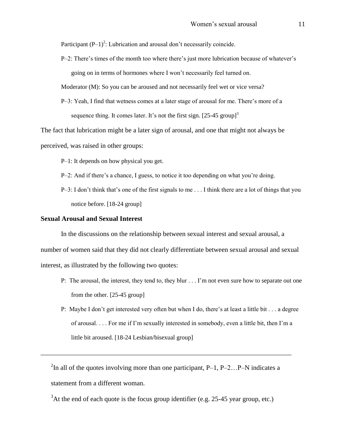Participant  $(P-1)^2$ : Lubrication and arousal don't necessarily coincide.

P–2: There"s times of the month too where there"s just more lubrication because of whatever"s going on in terms of hormones where I won"t necessarily feel turned on.

Moderator (M): So you can be aroused and not necessarily feel wet or vice versa?

P–3: Yeah, I find that wetness comes at a later stage of arousal for me. There"s more of a sequence thing. It comes later. It's not the first sign.  $[25-45 \text{ group}]^3$ 

The fact that lubrication might be a later sign of arousal, and one that might not always be perceived, was raised in other groups:

P–1: It depends on how physical you get.

- P–2: And if there"s a chance, I guess, to notice it too depending on what you"re doing.
- $P-3$ : I don't think that's one of the first signals to me  $\ldots$  I think there are a lot of things that you notice before. [18-24 group]

#### **Sexual Arousal and Sexual Interest**

In the discussions on the relationship between sexual interest and sexual arousal, a number of women said that they did not clearly differentiate between sexual arousal and sexual interest, as illustrated by the following two quotes:

- P: The arousal, the interest, they tend to, they blur . . . I"m not even sure how to separate out one from the other. [25-45 group]
- P: Maybe I don"t get interested very often but when I do, there"s at least a little bit . . . a degree of arousal. . . . For me if I"m sexually interested in somebody, even a little bit, then I"m a little bit aroused. [18-24 Lesbian/bisexual group]

<sup>2</sup>In all of the quotes involving more than one participant, P-1, P-2...P-N indicates a statement from a different woman.

\_\_\_\_\_\_\_\_\_\_\_\_\_\_\_\_\_\_\_\_\_\_\_\_\_\_\_\_\_\_\_\_\_\_\_\_\_\_\_\_\_\_\_\_\_\_\_\_\_\_\_\_\_\_\_\_\_\_\_\_\_\_\_\_\_\_\_\_\_\_\_\_\_\_

 $3$ At the end of each quote is the focus group identifier (e.g. 25-45 year group, etc.)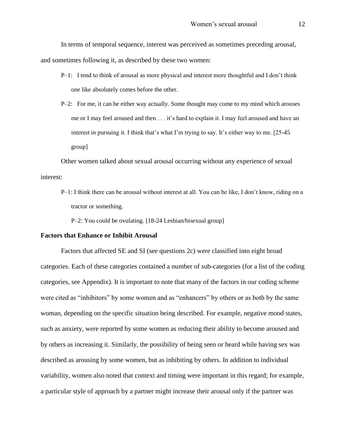In terms of temporal sequence, interest was perceived as sometimes preceding arousal, and sometimes following it, as described by these two women:

- P–1: I tend to think of arousal as more physical and interest more thoughtful and I don"t think one like absolutely comes before the other.
- P–2: For me, it can be either way actually. Some thought may come to my mind which arouses me or I may feel aroused and then . . . it"s hard to explain it. I may feel aroused and have an interest in pursuing it. I think that's what I'm trying to say. It's either way to me. [25-45] group]

Other women talked about sexual arousal occurring without any experience of sexual interest:

P-1: I think there can be arousal without interest at all. You can be like, I don't know, riding on a tractor or something.

P–2: You could be ovulating. [18-24 Lesbian/bisexual group]

#### **Factors that Enhance or Inhibit Arousal**

Factors that affected SE and SI (see questions 2c) were classified into eight broad categories. Each of these categories contained a number of sub-categories (for a list of the coding categories, see Appendix). It is important to note that many of the factors in our coding scheme were cited as "inhibitors" by some women and as "enhancers" by others or as both by the same woman, depending on the specific situation being described. For example, negative mood states, such as anxiety, were reported by some women as reducing their ability to become aroused and by others as increasing it. Similarly, the possibility of being seen or heard while having sex was described as arousing by some women, but as inhibiting by others. In addition to individual variability, women also noted that context and timing were important in this regard; for example, a particular style of approach by a partner might increase their arousal only if the partner was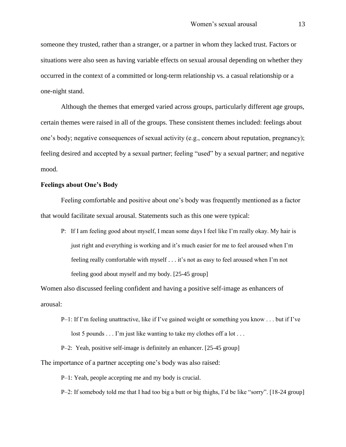someone they trusted, rather than a stranger, or a partner in whom they lacked trust. Factors or situations were also seen as having variable effects on sexual arousal depending on whether they occurred in the context of a committed or long-term relationship vs. a casual relationship or a one-night stand.

Although the themes that emerged varied across groups, particularly different age groups, certain themes were raised in all of the groups. These consistent themes included: feelings about one"s body; negative consequences of sexual activity (e.g., concern about reputation, pregnancy); feeling desired and accepted by a sexual partner; feeling "used" by a sexual partner; and negative mood.

#### **Feelings about One's Body**

Feeling comfortable and positive about one"s body was frequently mentioned as a factor that would facilitate sexual arousal. Statements such as this one were typical:

P: If I am feeling good about myself, I mean some days I feel like I"m really okay. My hair is just right and everything is working and it's much easier for me to feel aroused when I'm feeling really comfortable with myself . . . it's not as easy to feel aroused when I'm not feeling good about myself and my body. [25-45 group]

Women also discussed feeling confident and having a positive self-image as enhancers of arousal:

 $P-1$ : If I'm feeling unattractive, like if I've gained weight or something you know . . . but if I've lost 5 pounds . . . I'm just like wanting to take my clothes off a lot . . .

P–2: Yeah, positive self-image is definitely an enhancer. [25-45 group]

The importance of a partner accepting one's body was also raised:

P–1: Yeah, people accepting me and my body is crucial.

P–2: If somebody told me that I had too big a butt or big thighs, I"d be like "sorry". [18-24 group]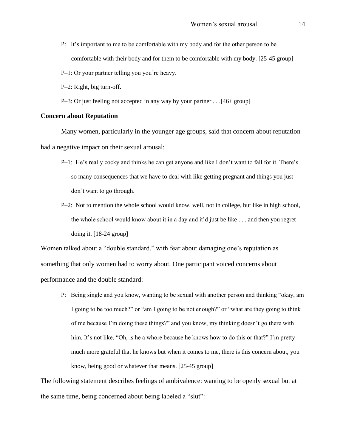- P: It"s important to me to be comfortable with my body and for the other person to be comfortable with their body and for them to be comfortable with my body. [25-45 group]
- P–1: Or your partner telling you you're heavy.
- P–2: Right, big turn-off.
- P–3: Or just feeling not accepted in any way by your partner . . .[46+ group]

#### **Concern about Reputation**

Many women, particularly in the younger age groups, said that concern about reputation had a negative impact on their sexual arousal:

- P–1: He's really cocky and thinks he can get anyone and like I don't want to fall for it. There's so many consequences that we have to deal with like getting pregnant and things you just don"t want to go through.
- P–2: Not to mention the whole school would know, well, not in college, but like in high school, the whole school would know about it in a day and it"d just be like . . . and then you regret doing it. [18-24 group]

Women talked about a "double standard," with fear about damaging one's reputation as something that only women had to worry about. One participant voiced concerns about performance and the double standard:

P: Being single and you know, wanting to be sexual with another person and thinking "okay, am I going to be too much?" or "am I going to be not enough?" or "what are they going to think of me because I"m doing these things?" and you know, my thinking doesn"t go there with him. It's not like, "Oh, is he a whore because he knows how to do this or that?" I'm pretty much more grateful that he knows but when it comes to me, there is this concern about, you know, being good or whatever that means. [25-45 group]

The following statement describes feelings of ambivalence: wanting to be openly sexual but at the same time, being concerned about being labeled a "slut":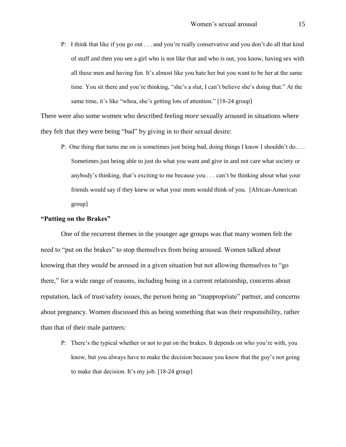P: I think that like if you go out . . . and you"re really conservative and you don"t do all that kind of stuff and then you see a girl who is not like that and who is out, you know, having sex with all these men and having fun. It"s almost like you hate her but you want to be her at the same time. You sit there and you're thinking, "she's a slut, I can't believe she's doing that." At the same time, it's like "whoa, she's getting lots of attention." [18-24 group]

There were also some women who described feeling *more* sexually aroused in situations where they felt that they were being "bad" by giving in to their sexual desire:

P: One thing that turns me on is sometimes just being bad, doing things I know I shouldn't do... Sometimes just being able to just do what you want and give in and not care what society or anybody's thinking, that's exciting to me because you . . . can't be thinking about what your friends would say if they knew or what your mom would think of you. [African-American group]

#### **"Putting on the Brakes"**

One of the recurrent themes in the younger age groups was that many women felt the need to "put on the brakes" to stop themselves from being aroused. Women talked about knowing that they *would* be aroused in a given situation but not allowing themselves to "go there," for a wide range of reasons, including being in a current relationship, concerns about reputation, lack of trust/safety issues, the person being an "inappropriate" partner, and concerns about pregnancy. Women discussed this as being something that was their responsibility, rather than that of their male partners:

P: There's the typical whether or not to put on the brakes. It depends on who you're with, you know, but you always have to make the decision because you know that the guy"s not going to make that decision. It's my job.  $[18-24 \text{ group}]$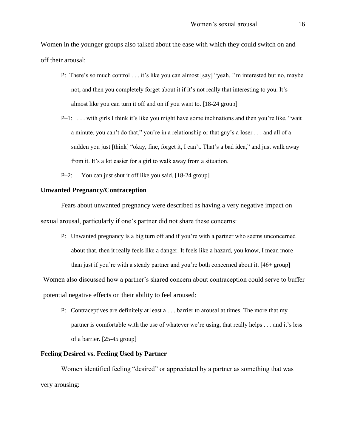Women in the younger groups also talked about the ease with which they could switch on and off their arousal:

- P: There's so much control . . . it's like you can almost [say] "yeah, I'm interested but no, maybe not, and then you completely forget about it if it's not really that interesting to you. It's almost like you can turn it off and on if you want to. [18-24 group]
- P-1: ... with girls I think it's like you might have some inclinations and then you're like, "wait" a minute, you can"t do that," you"re in a relationship or that guy"s a loser . . . and all of a sudden you just [think] "okay, fine, forget it, I can't. That's a bad idea," and just walk away from it. It"s a lot easier for a girl to walk away from a situation.
- P–2: You can just shut it off like you said. [18-24 group]

#### **Unwanted Pregnancy/Contraception**

Fears about unwanted pregnancy were described as having a very negative impact on sexual arousal, particularly if one"s partner did not share these concerns:

P: Unwanted pregnancy is a big turn off and if you"re with a partner who seems unconcerned about that, then it really feels like a danger. It feels like a hazard, you know, I mean more than just if you"re with a steady partner and you"re both concerned about it. [46+ group]

Women also discussed how a partner's shared concern about contraception could serve to buffer potential negative effects on their ability to feel aroused:

P: Contraceptives are definitely at least a . . . barrier to arousal at times. The more that my partner is comfortable with the use of whatever we"re using, that really helps . . . and it"s less of a barrier. [25-45 group]

## **Feeling Desired vs. Feeling Used by Partner**

Women identified feeling "desired" or appreciated by a partner as something that was very arousing: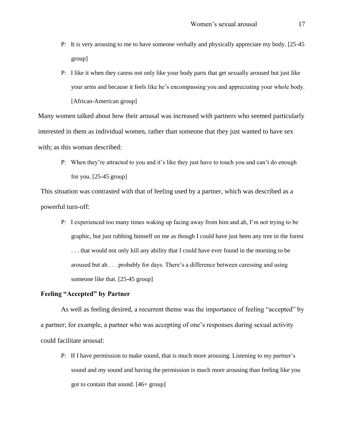- P: It is very arousing to me to have someone verbally and physically appreciate my body. [25-45 group]
- P: I like it when they caress not only like your body parts that get sexually aroused but just like your arms and because it feels like he"s encompassing you and appreciating your whole body. [African-American group]

Many women talked about how their arousal was increased with partners who seemed particularly interested in them as individual women, rather than someone that they just wanted to have sex with; as this woman described:

P: When they're attracted to you and it's like they just have to touch you and can't do enough for you. [25-45 group]

This situation was contrasted with that of feeling used by a partner, which was described as a powerful turn-off:

P: I experienced too many times waking up facing away from him and ah, I"m not trying to be graphic, but just rubbing himself on me as though I could have just been any tree in the forest . . . that would not only kill any ability that I could have ever found in the morning to be aroused but ah . . . probably for days. There"s a difference between caressing and using someone like that. [25-45 group]

#### **Feeling "Accepted" by Partner**

As well as feeling desired, a recurrent theme was the importance of feeling "accepted" by a partner; for example, a partner who was accepting of one"s responses during sexual activity could facilitate arousal:

P: If I have permission to make sound, that is much more arousing. Listening to my partner"s sound and my sound and having the permission is much more arousing than feeling like you got to contain that sound. [46+ group]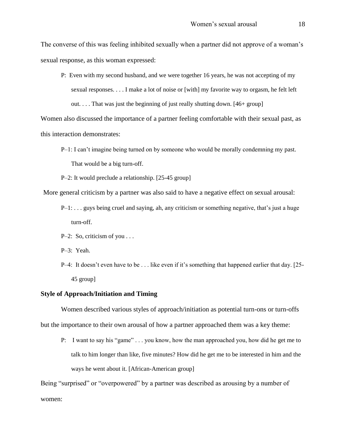The converse of this was feeling inhibited sexually when a partner did not approve of a woman"s sexual response, as this woman expressed:

P: Even with my second husband, and we were together 16 years, he was not accepting of my sexual responses. . . . I make a lot of noise or [with] my favorite way to orgasm, he felt left out.... That was just the beginning of just really shutting down.  $[46 + \text{group}]$ 

Women also discussed the importance of a partner feeling comfortable with their sexual past, as this interaction demonstrates:

P–1: I can"t imagine being turned on by someone who would be morally condemning my past. That would be a big turn-off.

P–2: It would preclude a relationship. [25-45 group]

More general criticism by a partner was also said to have a negative effect on sexual arousal:

- P-1: ... guys being cruel and saying, ah, any criticism or something negative, that's just a huge turn-off.
- P–2: So, criticism of you . . .

P–3: Yeah.

P–4: It doesn"t even have to be . . . like even if it"s something that happened earlier that day. [25- 45 group]

#### **Style of Approach/Initiation and Timing**

Women described various styles of approach/initiation as potential turn-ons or turn-offs but the importance to their own arousal of how a partner approached them was a key theme:

P: I want to say his "game" . . . you know, how the man approached you, how did he get me to talk to him longer than like, five minutes? How did he get me to be interested in him and the ways he went about it. [African-American group]

Being "surprised" or "overpowered" by a partner was described as arousing by a number of women: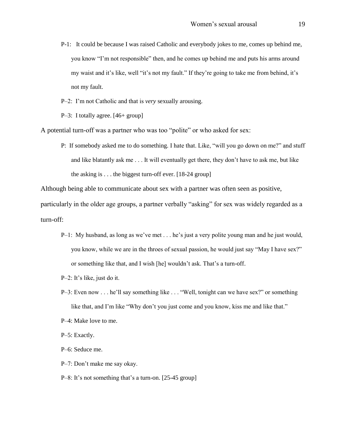- P-1: It could be because I was raised Catholic and everybody jokes to me, comes up behind me, you know "I"m not responsible" then, and he comes up behind me and puts his arms around my waist and it's like, well "it's not my fault." If they're going to take me from behind, it's not my fault.
- P–2: I"m not Catholic and that is *very* sexually arousing.
- P–3: I totally agree. [46+ group]

A potential turn-off was a partner who was too "polite" or who asked for sex:

P: If somebody asked me to do something. I hate that. Like, "will you go down on me?" and stuff and like blatantly ask me . . . It will eventually get there, they don"t have to ask me, but like the asking is . . . the biggest turn-off ever. [18-24 group]

Although being able to communicate about sex with a partner was often seen as positive,

particularly in the older age groups, a partner verbally "asking" for sex was widely regarded as a turn-off:

- P-1: My husband, as long as we've met . . . he's just a very polite young man and he just would, you know, while we are in the throes of sexual passion, he would just say "May I have sex?" or something like that, and I wish [he] wouldn"t ask. That"s a turn-off.
- P–2: It"s like, just do it.
- P-3: Even now . . . he'll say something like . . . "Well, tonight can we have sex?" or something like that, and I'm like "Why don't you just come and you know, kiss me and like that."
- P–4: Make love to me.
- P–5: Exactly.
- P–6: Seduce me.
- P–7: Don"t make me say okay.
- P–8: It's not something that's a turn-on. [25-45 group]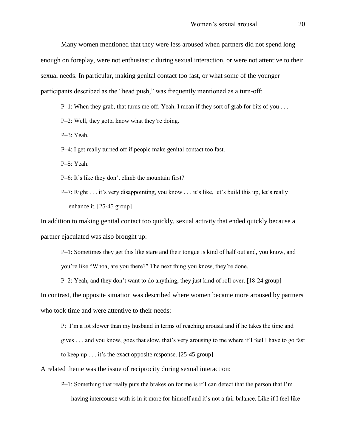Many women mentioned that they were less aroused when partners did not spend long enough on foreplay, were not enthusiastic during sexual interaction, or were not attentive to their sexual needs. In particular, making genital contact too fast, or what some of the younger participants described as the "head push," was frequently mentioned as a turn-off:

 $P-1$ : When they grab, that turns me off. Yeah, I mean if they sort of grab for bits of you . . .

P–2: Well, they gotta know what they"re doing.

P–3: Yeah.

P–4: I get really turned off if people make genital contact too fast.

P–5: Yeah.

P–6: It's like they don't climb the mountain first?

P–7: Right . . . it's very disappointing, you know . . . it's like, let's build this up, let's really enhance it. [25-45 group]

In addition to making genital contact too quickly, sexual activity that ended quickly because a partner ejaculated was also brought up:

P–1: Sometimes they get this like stare and their tongue is kind of half out and, you know, and you"re like "Whoa, are you there?" The next thing you know, they"re done.

P–2: Yeah, and they don"t want to do anything, they just kind of roll over. [18-24 group]

In contrast, the opposite situation was described where women became more aroused by partners

who took time and were attentive to their needs:

P: I"m a lot slower than my husband in terms of reaching arousal and if he takes the time and gives . . . and you know, goes that slow, that"s very arousing to me where if I feel I have to go fast to keep up  $\ldots$  it's the exact opposite response. [25-45 group]

A related theme was the issue of reciprocity during sexual interaction:

 $P-1$ : Something that really puts the brakes on for me is if I can detect that the person that I'm having intercourse with is in it more for himself and it's not a fair balance. Like if I feel like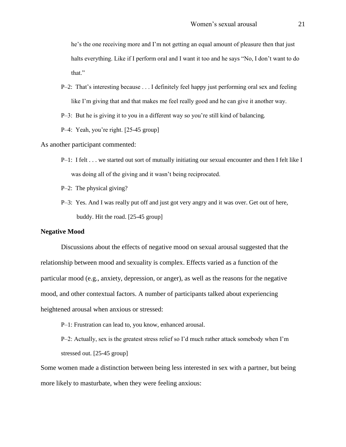he"s the one receiving more and I"m not getting an equal amount of pleasure then that just halts everything. Like if I perform oral and I want it too and he says "No, I don't want to do that."

P–2: That"s interesting because . . . I definitely feel happy just performing oral sex and feeling like I'm giving that and that makes me feel really good and he can give it another way.

P–3: But he is giving it to you in a different way so you"re still kind of balancing.

P–4: Yeah, you're right. [25-45 group]

As another participant commented:

- P–1: I felt . . . we started out sort of mutually initiating our sexual encounter and then I felt like I was doing all of the giving and it wasn't being reciprocated.
- P–2: The physical giving?
- P–3: Yes. And I was really put off and just got very angry and it was over. Get out of here, buddy. Hit the road. [25-45 group]

#### **Negative Mood**

Discussions about the effects of negative mood on sexual arousal suggested that the relationship between mood and sexuality is complex. Effects varied as a function of the particular mood (e.g., anxiety, depression, or anger), as well as the reasons for the negative mood, and other contextual factors. A number of participants talked about experiencing heightened arousal when anxious or stressed:

P–1: Frustration can lead to, you know, enhanced arousal.

P–2: Actually, sex is the greatest stress relief so I"d much rather attack somebody when I"m stressed out. [25-45 group]

Some women made a distinction between being less interested in sex with a partner, but being more likely to masturbate, when they were feeling anxious: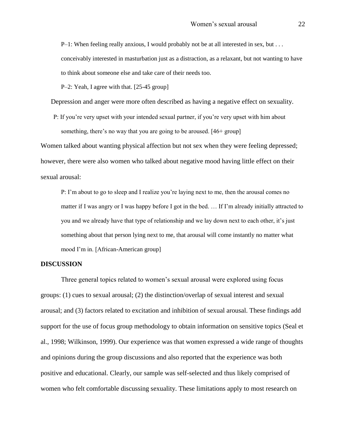$P-1$ : When feeling really anxious, I would probably not be at all interested in sex, but ... conceivably interested in masturbation just as a distraction, as a relaxant, but not wanting to have to think about someone else and take care of their needs too.

P–2: Yeah, I agree with that. [25-45 group]

Depression and anger were more often described as having a negative effect on sexuality.

P: If you"re very upset with your intended sexual partner, if you"re very upset with him about something, there's no way that you are going to be aroused. [46+ group]

Women talked about wanting physical affection but not sex when they were feeling depressed; however, there were also women who talked about negative mood having little effect on their sexual arousal:

P: I'm about to go to sleep and I realize you're laying next to me, then the arousal comes no matter if I was angry or I was happy before I got in the bed. … If I"m already initially attracted to you and we already have that type of relationship and we lay down next to each other, it"s just something about that person lying next to me, that arousal will come instantly no matter what mood I"m in. [African-American group]

#### **DISCUSSION**

Three general topics related to women's sexual arousal were explored using focus groups: (1) cues to sexual arousal; (2) the distinction/overlap of sexual interest and sexual arousal; and (3) factors related to excitation and inhibition of sexual arousal. These findings add support for the use of focus group methodology to obtain information on sensitive topics (Seal et al., 1998; Wilkinson, 1999). Our experience was that women expressed a wide range of thoughts and opinions during the group discussions and also reported that the experience was both positive and educational. Clearly, our sample was self-selected and thus likely comprised of women who felt comfortable discussing sexuality. These limitations apply to most research on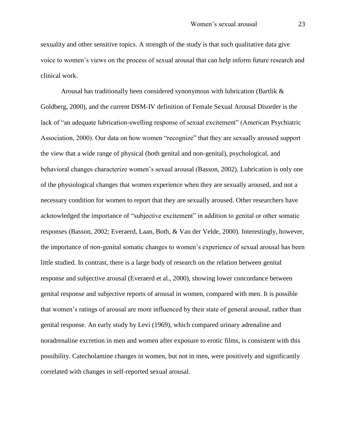sexuality and other sensitive topics. A strength of the study is that such qualitative data give voice to women"s views on the process of sexual arousal that can help inform future research and clinical work.

Arousal has traditionally been considered synonymous with lubrication (Bartlik  $\&$ Goldberg, 2000), and the current DSM-IV definition of Female Sexual Arousal Disorder is the lack of "an adequate lubrication-swelling response of sexual excitement" (American Psychiatric Association, 2000). Our data on how women "recognize" that they are sexually aroused support the view that a wide range of physical (both genital and non-genital), psychological, and behavioral changes characterize women"s sexual arousal (Basson, 2002). Lubrication is only one of the physiological changes that women experience when they are sexually aroused, and not a necessary condition for women to report that they are sexually aroused. Other researchers have acknowledged the importance of "subjective excitement" in addition to genital or other somatic responses (Basson, 2002; Everaerd, Laan, Both, & Van der Velde, 2000). Interestingly, however, the importance of *non*-genital somatic changes to women"s experience of sexual arousal has been little studied. In contrast, there is a large body of research on the relation between genital response and subjective arousal (Everaerd et al., 2000), showing lower concordance between genital response and subjective reports of arousal in women, compared with men. It is possible that women"s ratings of arousal are more influenced by their state of general arousal, rather than genital response. An early study by Levi (1969), which compared urinary adrenaline and noradrenaline excretion in men and women after exposure to erotic films, is consistent with this possibility. Catecholamine changes in women, but not in men, were positively and significantly correlated with changes in self-reported sexual arousal.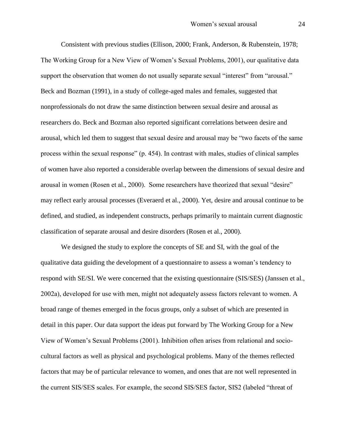Consistent with previous studies (Ellison, 2000; Frank, Anderson, & Rubenstein, 1978; The Working Group for a New View of Women"s Sexual Problems, 2001), our qualitative data support the observation that women do not usually separate sexual "interest" from "arousal." Beck and Bozman (1991), in a study of college-aged males and females, suggested that nonprofessionals do not draw the same distinction between sexual desire and arousal as researchers do. Beck and Bozman also reported significant correlations between desire and arousal, which led them to suggest that sexual desire and arousal may be "two facets of the same process within the sexual response" (p. 454). In contrast with males, studies of clinical samples of women have also reported a considerable overlap between the dimensions of sexual desire and arousal in women (Rosen et al., 2000). Some researchers have theorized that sexual "desire" may reflect early arousal processes (Everaerd et al., 2000). Yet, desire and arousal continue to be defined, and studied, as independent constructs, perhaps primarily to maintain current diagnostic classification of separate arousal and desire disorders (Rosen et al., 2000).

We designed the study to explore the concepts of SE and SI, with the goal of the qualitative data guiding the development of a questionnaire to assess a woman"s tendency to respond with SE/SI. We were concerned that the existing questionnaire (SIS/SES) (Janssen et al., 2002a), developed for use with men, might not adequately assess factors relevant to women. A broad range of themes emerged in the focus groups, only a subset of which are presented in detail in this paper. Our data support the ideas put forward by The Working Group for a New View of Women"s Sexual Problems (2001). Inhibition often arises from relational and sociocultural factors as well as physical and psychological problems. Many of the themes reflected factors that may be of particular relevance to women, and ones that are not well represented in the current SIS/SES scales. For example, the second SIS/SES factor, SIS2 (labeled "threat of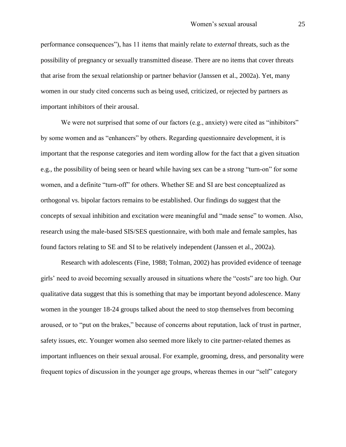performance consequences"), has 11 items that mainly relate to *external* threats, such as the possibility of pregnancy or sexually transmitted disease. There are no items that cover threats that arise from the sexual relationship or partner behavior (Janssen et al., 2002a). Yet, many women in our study cited concerns such as being used, criticized, or rejected by partners as important inhibitors of their arousal.

We were not surprised that some of our factors (e.g., anxiety) were cited as "inhibitors" by some women and as "enhancers" by others. Regarding questionnaire development, it is important that the response categories and item wording allow for the fact that a given situation e.g., the possibility of being seen or heard while having sex can be a strong "turn-on" for some women, and a definite "turn-off" for others. Whether SE and SI are best conceptualized as orthogonal vs. bipolar factors remains to be established. Our findings do suggest that the concepts of sexual inhibition and excitation were meaningful and "made sense" to women. Also, research using the male-based SIS/SES questionnaire, with both male and female samples, has found factors relating to SE and SI to be relatively independent (Janssen et al., 2002a).

Research with adolescents (Fine, 1988; Tolman, 2002) has provided evidence of teenage girls" need to avoid becoming sexually aroused in situations where the "costs" are too high. Our qualitative data suggest that this is something that may be important beyond adolescence. Many women in the younger 18-24 groups talked about the need to stop themselves from becoming aroused, or to "put on the brakes," because of concerns about reputation, lack of trust in partner, safety issues, etc. Younger women also seemed more likely to cite partner-related themes as important influences on their sexual arousal. For example, grooming, dress, and personality were frequent topics of discussion in the younger age groups, whereas themes in our "self" category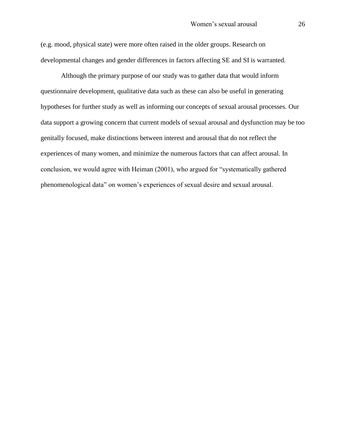(e.g. mood, physical state) were more often raised in the older groups. Research on developmental changes and gender differences in factors affecting SE and SI is warranted.

Although the primary purpose of our study was to gather data that would inform questionnaire development, qualitative data such as these can also be useful in generating hypotheses for further study as well as informing our concepts of sexual arousal processes. Our data support a growing concern that current models of sexual arousal and dysfunction may be too genitally focused, make distinctions between interest and arousal that do not reflect the experiences of many women, and minimize the numerous factors that can affect arousal. In conclusion, we would agree with Heiman (2001), who argued for "systematically gathered phenomenological data" on women"s experiences of sexual desire and sexual arousal.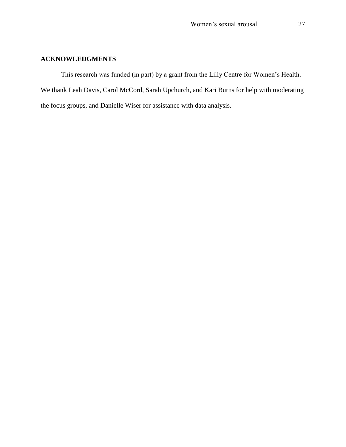## **ACKNOWLEDGMENTS**

This research was funded (in part) by a grant from the Lilly Centre for Women"s Health. We thank Leah Davis, Carol McCord, Sarah Upchurch, and Kari Burns for help with moderating the focus groups, and Danielle Wiser for assistance with data analysis.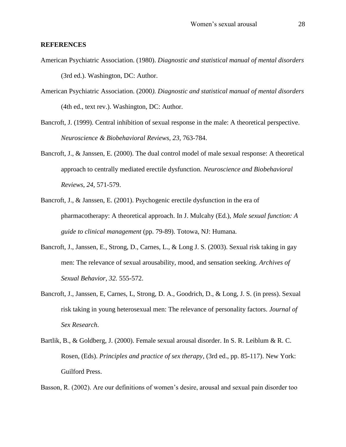#### **REFERENCES**

- American Psychiatric Association. (1980). *Diagnostic and statistical manual of mental disorders* (3rd ed.). Washington, DC: Author.
- American Psychiatric Association. (2000*). Diagnostic and statistical manual of mental disorders* (4th ed., text rev.). Washington, DC: Author.
- Bancroft, J. (1999). Central inhibition of sexual response in the male: A theoretical perspective. *Neuroscience & Biobehavioral Reviews, 23,* 763-784.
- Bancroft, J., & Janssen, E. (2000). The dual control model of male sexual response: A theoretical approach to centrally mediated erectile dysfunction. *Neuroscience and Biobehavioral Reviews*, *24*, 571-579.
- Bancroft, J., & Janssen, E. (2001). Psychogenic erectile dysfunction in the era of pharmacotherapy: A theoretical approach. In J. Mulcahy (Ed.), *Male sexual function: A guide to clinical management* (pp. 79-89). Totowa, NJ: Humana.
- Bancroft, J., Janssen, E., Strong, D., Carnes, L., & Long J. S. (2003). Sexual risk taking in gay men: The relevance of sexual arousability, mood, and sensation seeking. *Archives of Sexual Behavior, 32.* 555-572.
- Bancroft, J., Janssen, E, Carnes, L, Strong, D. A., Goodrich, D., & Long, J. S. (in press). Sexual risk taking in young heterosexual men: The relevance of personality factors. *Journal of Sex Research*.
- Bartlik, B., & Goldberg, J. (2000). Female sexual arousal disorder. In S. R. Leiblum & R. C. Rosen, (Eds). *Principles and practice of sex therapy*, (3rd ed., pp. 85-117). New York: Guilford Press.

Basson, R. (2002). Are our definitions of women's desire, arousal and sexual pain disorder too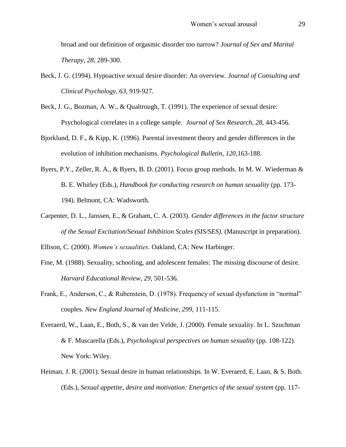broad and our definition of orgasmic disorder too narrow? *Journal of Sex and Marital Therapy*, *28*, 289-300.

- Beck, J. G. (1994). Hypoactive sexual desire disorder: An overview*. Journal of Consulting and Clinical Psychology*, *63*, 919-927.
- Beck, J. G., Bozman, A. W., & Qualtrough, T. (1991). The experience of sexual desire: Psychological correlates in a college sample. *Journal of Sex Research, 28*, 443-456.
- Bjorklund, D. F., & Kipp, K. (1996). Parental investment theory and gender differences in the evolution of inhibition mechanisms. *Psychological Bulletin*, *120*,163-188.
- Byers, P.Y., Zeller, R. A., & Byers, B. D. (2001). Focus group methods. In M. W. Wiederman & B. E. Whitley (Eds.), *Handbook for conducting research on human sexuality* (pp. 173- 194). Belmont, CA: Wadsworth.
- Carpenter, D. L., Janssen, E., & Graham, C. A. (2003). *Gender differences in the factor structure of the Sexual Excitation/Sexual Inhibition Scales (SIS/SES)*. (Manuscript in preparation).

Ellison, C. (2000). *Women's sexualities*. Oakland, CA: New Harbinger.

- Fine, M. (1988). Sexuality, schooling, and adolescent females: The missing discourse of desire. *Harvard Educational Review*, *29*, 501-536.
- Frank, E., Anderson, C., & Rubenstein, D. (1978). Frequency of sexual dysfunction in "normal" couples. *New England Journal of Medicine*, *299*, 111-115.
- Everaerd, W., Laan, E., Both, S., & van der Velde, J. (2000). Female sexuality. In L. Szuchman & F. Muscarella (Eds.), *Psychological perspectives on human sexuality* (pp. 108-122). New York: Wiley.
- Heiman, J. R. (2001). Sexual desire in human relationships. In W. Everaerd, E. Laan, & S. Both. (Eds.), *Sexual appetite, desire and motivation: Energetics of the sexual system* (pp. 117-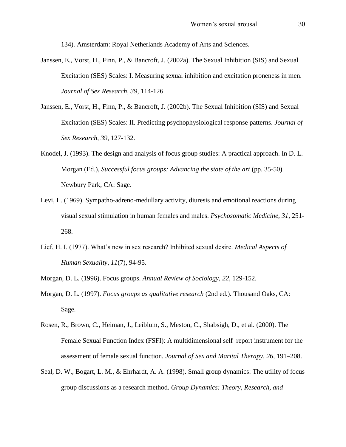134). Amsterdam: Royal Netherlands Academy of Arts and Sciences.

- Janssen, E., Vorst, H., Finn, P., & Bancroft, J. (2002a). The Sexual Inhibition (SIS) and Sexual Excitation (SES) Scales: I. Measuring sexual inhibition and excitation proneness in men. *Journal of Sex Research, 39*, 114-126.
- Janssen, E., Vorst, H., Finn, P., & Bancroft, J. (2002b). The Sexual Inhibition (SIS) and Sexual Excitation (SES) Scales: II. Predicting psychophysiological response patterns. *Journal of Sex Research, 39,* 127-132.
- Knodel, J. (1993). The design and analysis of focus group studies: A practical approach. In D. L. Morgan (Ed.), *Successful focus groups: Advancing the state of the art* (pp. 35-50). Newbury Park, CA: Sage.
- Levi, L. (1969). Sympatho-adreno-medullary activity, diuresis and emotional reactions during visual sexual stimulation in human females and males. *Psychosomatic Medicine*, *31*, 251- 268.
- Lief, H. I. (1977). What"s new in sex research? Inhibited sexual desire. *Medical Aspects of Human Sexuality*, *11*(7), 94-95.
- Morgan, D. L. (1996). Focus groups. *Annual Review of Sociology*, *22*, 129-152.
- Morgan, D. L. (1997). *Focus groups as qualitative research* (2nd ed.). Thousand Oaks, CA: Sage.
- Rosen, R., Brown, C., Heiman, J., Leiblum, S., Meston, C., Shabsigh, D., et al. (2000). The Female Sexual Function Index (FSFI): A multidimensional self–report instrument for the assessment of female sexual function*. Journal of Sex and Marital Therapy, 26,* 191–208.
- Seal, D. W., Bogart, L. M., & Ehrhardt, A. A. (1998). Small group dynamics: The utility of focus group discussions as a research method. *Group Dynamics: Theory, Research, and*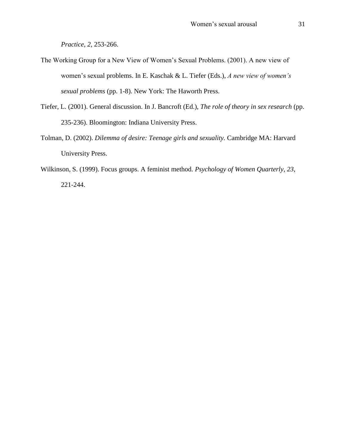*Practice*, *2,* 253-266.

- The Working Group for a New View of Women"s Sexual Problems. (2001). A new view of women"s sexual problems. In E. Kaschak & L. Tiefer (Eds.), *A new view of women's sexual problems* (pp. 1-8). New York: The Haworth Press.
- Tiefer, L. (2001). General discussion. In J. Bancroft (Ed.), *The role of theory in sex research* (pp. 235-236). Bloomington: Indiana University Press.
- Tolman, D. (2002). *Dilemma of desire: Teenage girls and sexuality.* Cambridge MA: Harvard University Press.
- Wilkinson, S. (1999). Focus groups. A feminist method. *Psychology of Women Quarterly*, *23*, 221-244.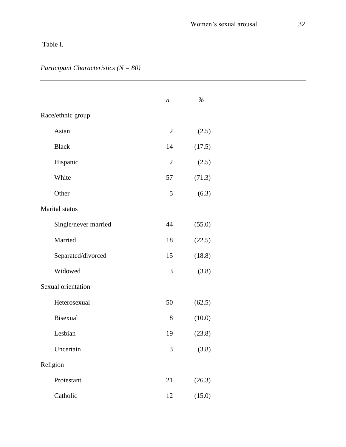## Table I.

## *Participant Characteristics (N = 80)*

|                      | $\mathbf{n}$   | $\%$   |
|----------------------|----------------|--------|
| Race/ethnic group    |                |        |
| Asian                | $\overline{2}$ | (2.5)  |
| <b>Black</b>         | 14             | (17.5) |
| Hispanic             | $\overline{2}$ | (2.5)  |
| White                | 57             | (71.3) |
| Other                | 5              | (6.3)  |
| Marital status       |                |        |
| Single/never married | 44             | (55.0) |
| Married              | 18             | (22.5) |
| Separated/divorced   | 15             | (18.8) |
| Widowed              | 3              | (3.8)  |
| Sexual orientation   |                |        |
| Heterosexual         | 50             | (62.5) |
| <b>Bisexual</b>      | 8              | (10.0) |
| Lesbian              | 19             | (23.8) |
| Uncertain            | 3              | (3.8)  |
| Religion             |                |        |
| Protestant           | 21             | (26.3) |
| Catholic             | 12             | (15.0) |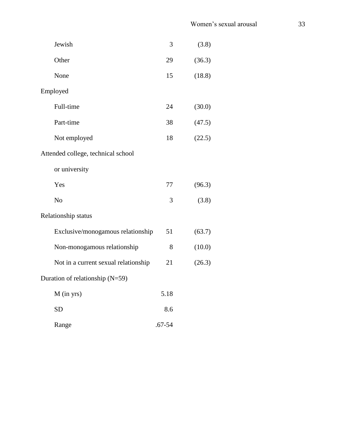| Jewish                               | 3          | (3.8)  |
|--------------------------------------|------------|--------|
| Other                                | 29         | (36.3) |
| None                                 | 15         | (18.8) |
| Employed                             |            |        |
| Full-time                            | 24         | (30.0) |
| Part-time                            | 38         | (47.5) |
| Not employed                         | 18         | (22.5) |
| Attended college, technical school   |            |        |
| or university                        |            |        |
| Yes                                  | 77         | (96.3) |
| N <sub>o</sub>                       | 3          | (3.8)  |
| Relationship status                  |            |        |
| Exclusive/monogamous relationship    | 51         | (63.7) |
| Non-monogamous relationship          | 8          | (10.0) |
| Not in a current sexual relationship | 21         | (26.3) |
| Duration of relationship (N=59)      |            |        |
| $M$ (in yrs)                         | 5.18       |        |
| <b>SD</b>                            | 8.6        |        |
| Range                                | $.67 - 54$ |        |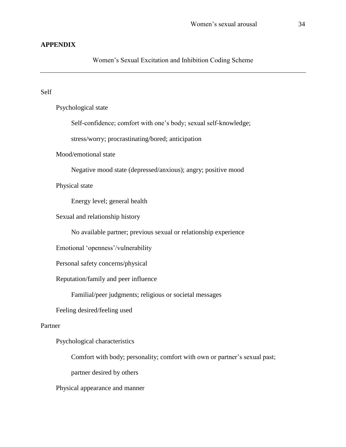## **APPENDIX**

## Women"s Sexual Excitation and Inhibition Coding Scheme

#### Self

Psychological state

Self-confidence; comfort with one's body; sexual self-knowledge;

stress/worry; procrastinating/bored; anticipation

Mood/emotional state

Negative mood state (depressed/anxious); angry; positive mood

Physical state

Energy level; general health

Sexual and relationship history

No available partner; previous sexual or relationship experience

Emotional "openness"/vulnerability

Personal safety concerns/physical

Reputation/family and peer influence

Familial/peer judgments; religious or societal messages

Feeling desired/feeling used

### Partner

Psychological characteristics

Comfort with body; personality; comfort with own or partner's sexual past;

partner desired by others

Physical appearance and manner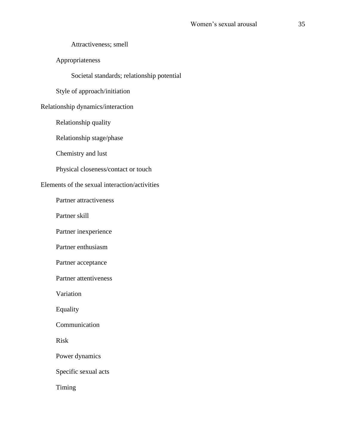Attractiveness; smell

Appropriateness

Societal standards; relationship potential

Style of approach/initiation

Relationship dynamics/interaction

Relationship quality

Relationship stage/phase

Chemistry and lust

Physical closeness/contact or touch

## Elements of the sexual interaction/activities

Partner attractiveness

Partner skill

Partner inexperience

Partner enthusiasm

Partner acceptance

Partner attentiveness

Variation

Equality

Communication

Risk

Power dynamics

Specific sexual acts

Timing